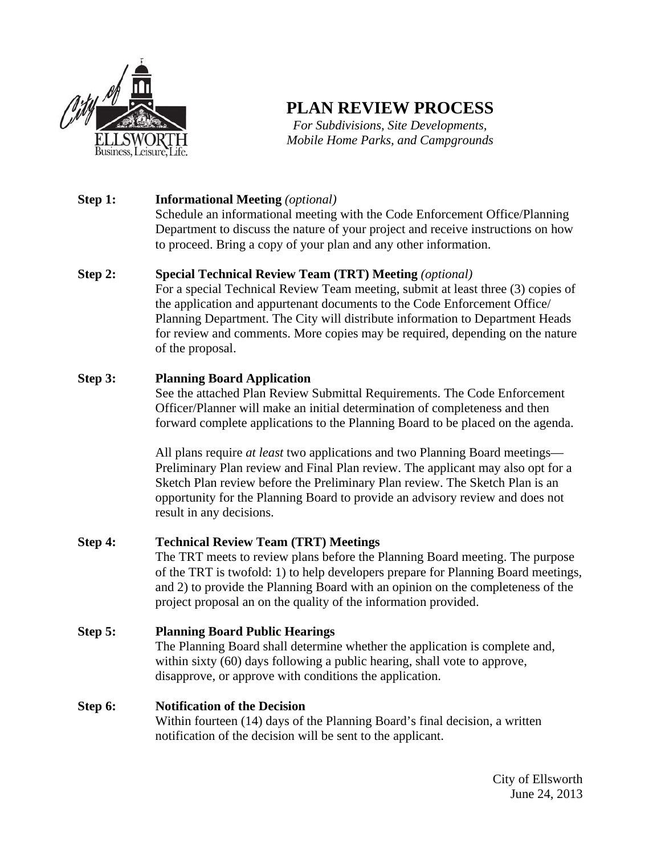

# **PLAN REVIEW PROCESS**

*For Subdivisions, Site Developments, Mobile Home Parks, and Campgrounds* 

#### **Step 1: Informational Meeting** *(optional)*

Schedule an informational meeting with the Code Enforcement Office/Planning Department to discuss the nature of your project and receive instructions on how to proceed. Bring a copy of your plan and any other information.

## **Step 2: Special Technical Review Team (TRT) Meeting** *(optional)*

For a special Technical Review Team meeting, submit at least three (3) copies of the application and appurtenant documents to the Code Enforcement Office/ Planning Department. The City will distribute information to Department Heads for review and comments. More copies may be required, depending on the nature of the proposal.

## **Step 3: Planning Board Application**

See the attached Plan Review Submittal Requirements. The Code Enforcement Officer/Planner will make an initial determination of completeness and then forward complete applications to the Planning Board to be placed on the agenda.

All plans require *at least* two applications and two Planning Board meetings— Preliminary Plan review and Final Plan review. The applicant may also opt for a Sketch Plan review before the Preliminary Plan review. The Sketch Plan is an opportunity for the Planning Board to provide an advisory review and does not result in any decisions.

#### **Step 4: Technical Review Team (TRT) Meetings** The TRT meets to review plans before the Planning Board meeting. The purpose of the TRT is twofold: 1) to help developers prepare for Planning Board meetings, and 2) to provide the Planning Board with an opinion on the completeness of the project proposal an on the quality of the information provided.

# **Step 5: Planning Board Public Hearings**

The Planning Board shall determine whether the application is complete and, within sixty (60) days following a public hearing, shall vote to approve, disapprove, or approve with conditions the application.

# **Step 6: Notification of the Decision**

Within fourteen (14) days of the Planning Board's final decision, a written notification of the decision will be sent to the applicant.